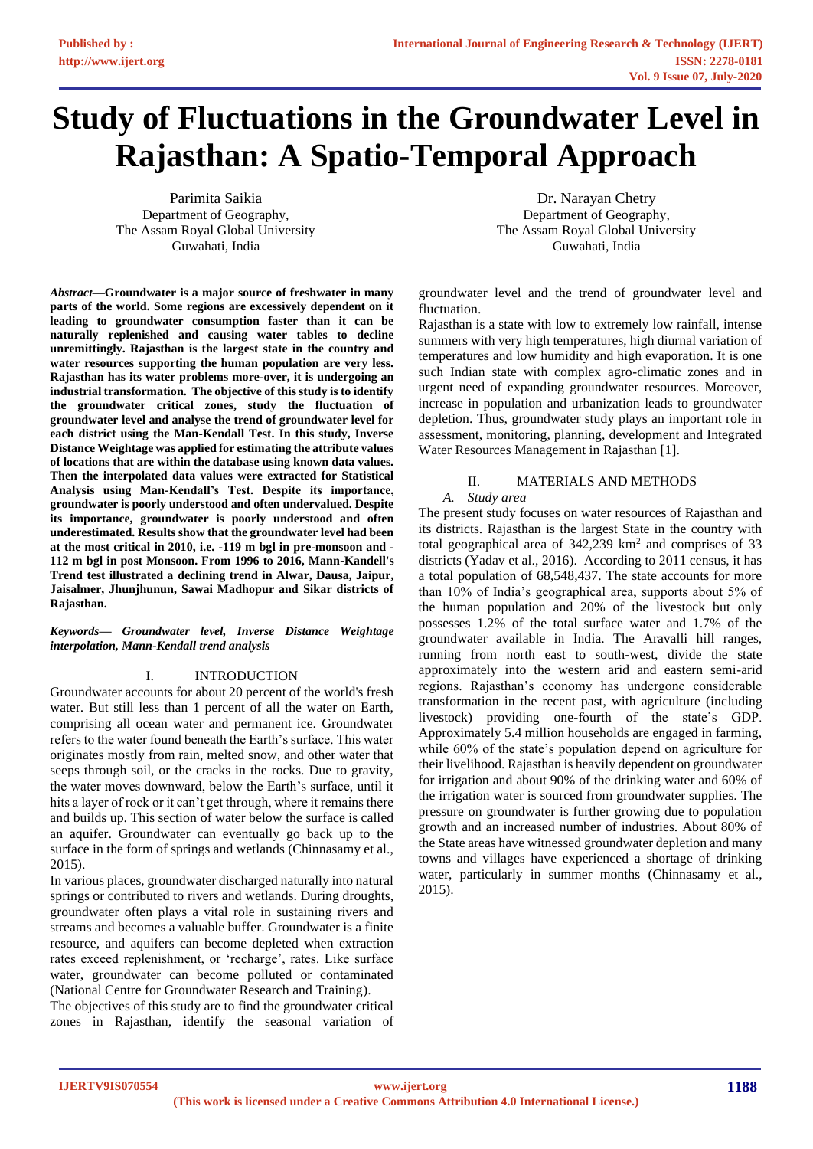# **Study of Fluctuations in the Groundwater Level in Rajasthan: A Spatio-Temporal Approach**

Parimita Saikia Department of Geography, The Assam Royal Global University Guwahati, India

*Abstract***—Groundwater is a major source of freshwater in many parts of the world. Some regions are excessively dependent on it leading to groundwater consumption faster than it can be naturally replenished and causing water tables to decline unremittingly. Rajasthan is the largest state in the country and water resources supporting the human population are very less. Rajasthan has its water problems more-over, it is undergoing an industrial transformation. The objective of this study is to identify the groundwater critical zones, study the fluctuation of groundwater level and analyse the trend of groundwater level for each district using the Man-Kendall Test. In this study, Inverse Distance Weightage was applied for estimating the attribute values of locations that are within the database using known data values. Then the interpolated data values were extracted for Statistical Analysis using Man-Kendall's Test. Despite its importance, groundwater is poorly understood and often undervalued. Despite its importance, groundwater is poorly understood and often underestimated. Results show that the groundwater level had been at the most critical in 2010, i.e. -119 m bgl in pre-monsoon and - 112 m bgl in post Monsoon. From 1996 to 2016, Mann-Kandell's Trend test illustrated a declining trend in Alwar, Dausa, Jaipur, Jaisalmer, Jhunjhunun, Sawai Madhopur and Sikar districts of Rajasthan.**

*Keywords— Groundwater level, Inverse Distance Weightage interpolation, Mann-Kendall trend analysis*

# I. INTRODUCTION

Groundwater accounts for about 20 percent of the world's fresh water. But still less than 1 percent of all the water on Earth, comprising all ocean water and permanent ice. Groundwater refers to the water found beneath the Earth's surface. This water originates mostly from rain, melted snow, and other water that seeps through soil, or the cracks in the rocks. Due to gravity, the water moves downward, below the Earth's surface, until it hits a layer of rock or it can't get through, where it remains there and builds up. This section of water below the surface is called an aquifer. Groundwater can eventually go back up to the surface in the form of springs and wetlands (Chinnasamy et al., 2015).

In various places, groundwater discharged naturally into natural springs or contributed to rivers and wetlands. During droughts, groundwater often plays a vital role in sustaining rivers and streams and becomes a valuable buffer. Groundwater is a finite resource, and aquifers can become depleted when extraction rates exceed replenishment, or 'recharge', rates. Like surface water, groundwater can become polluted or contaminated (National Centre for Groundwater Research and Training).

The objectives of this study are to find the groundwater critical zones in Rajasthan, identify the seasonal variation of

Dr. Narayan Chetry Department of Geography, The Assam Royal Global University Guwahati, India

groundwater level and the trend of groundwater level and fluctuation.

Rajasthan is a state with low to extremely low rainfall, intense summers with very high temperatures, high diurnal variation of temperatures and low humidity and high evaporation. It is one such Indian state with complex agro-climatic zones and in urgent need of expanding groundwater resources. Moreover, increase in population and urbanization leads to groundwater depletion. Thus, groundwater study plays an important role in assessment, monitoring, planning, development and Integrated Water Resources Management in Rajasthan [1].

# II. MATERIALS AND METHODS

*A. Study area*

The present study focuses on water resources of Rajasthan and its districts. Rajasthan is the largest State in the country with total geographical area of  $342,239$  km<sup>2</sup> and comprises of 33 districts (Yadav et al., 2016). According to 2011 census, it has a total population of 68,548,437. The state accounts for more than 10% of India's geographical area, supports about 5% of the human population and 20% of the livestock but only possesses 1.2% of the total surface water and 1.7% of the groundwater available in India. The Aravalli hill ranges, running from north east to south-west, divide the state approximately into the western arid and eastern semi-arid regions. Rajasthan's economy has undergone considerable transformation in the recent past, with agriculture (including livestock) providing one-fourth of the state's GDP. Approximately 5.4 million households are engaged in farming, while 60% of the state's population depend on agriculture for their livelihood. Rajasthan is heavily dependent on groundwater for irrigation and about 90% of the drinking water and 60% of the irrigation water is sourced from groundwater supplies. The pressure on groundwater is further growing due to population growth and an increased number of industries. About 80% of the State areas have witnessed groundwater depletion and many towns and villages have experienced a shortage of drinking water, particularly in summer months (Chinnasamy et al., 2015).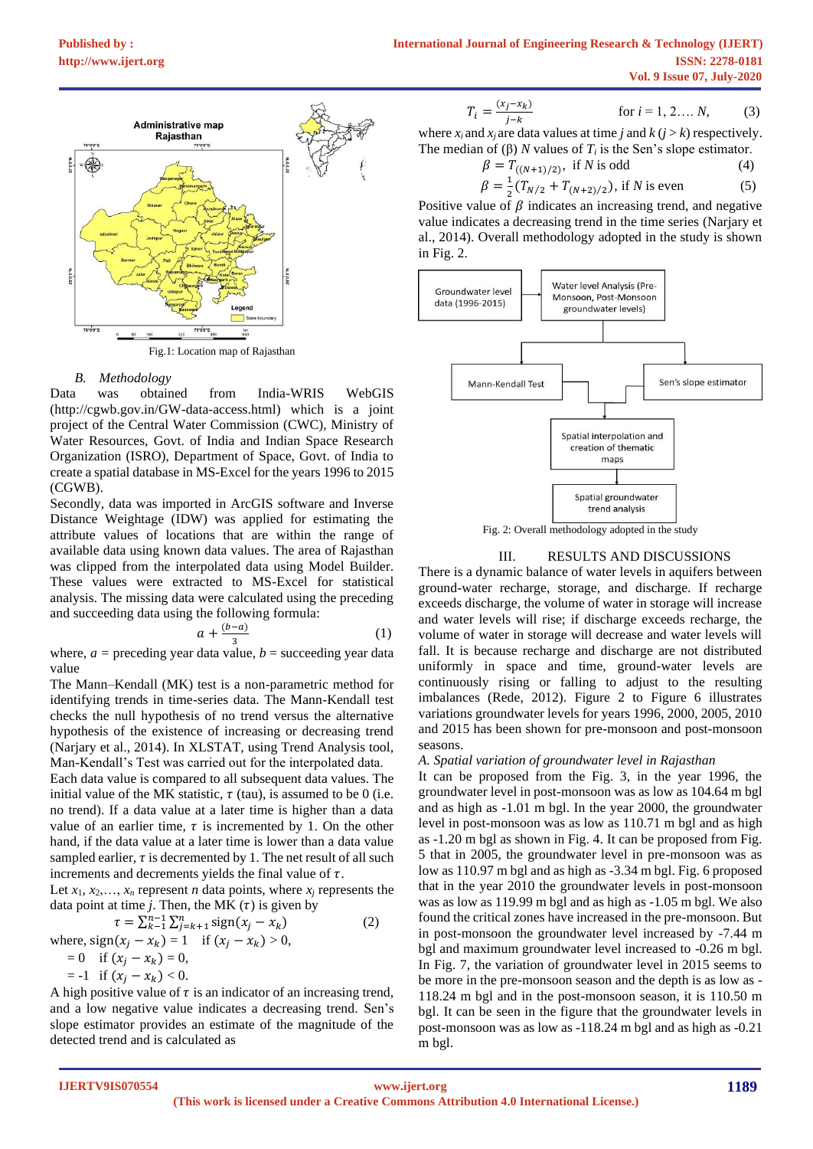

# *B. Methodology*

Data was obtained from India-WRIS WebGIS (http://cgwb.gov.in/GW-data-access.html) which is a joint project of the Central Water Commission (CWC), Ministry of Water Resources, Govt. of India and Indian Space Research Organization (ISRO), Department of Space, Govt. of India to create a spatial database in MS-Excel for the years 1996 to 2015 (CGWB).

Secondly, data was imported in ArcGIS software and Inverse Distance Weightage (IDW) was applied for estimating the attribute values of locations that are within the range of available data using known data values. The area of Rajasthan was clipped from the interpolated data using Model Builder. These values were extracted to MS-Excel for statistical analysis. The missing data were calculated using the preceding and succeeding data using the following formula:

$$
a + \frac{(b-a)}{3} \tag{1}
$$

where,  $a =$  preceding year data value,  $b =$  succeeding year data value

The Mann–Kendall (MK) test is a non-parametric method for identifying trends in time-series data. The Mann-Kendall test checks the null hypothesis of no trend versus the alternative hypothesis of the existence of increasing or decreasing trend (Narjary et al., 2014). In XLSTAT, using Trend Analysis tool, Man-Kendall's Test was carried out for the interpolated data.

Each data value is compared to all subsequent data values. The initial value of the MK statistic,  $\tau$  (tau), is assumed to be 0 (i.e. no trend). If a data value at a later time is higher than a data value of an earlier time,  $\tau$  is incremented by 1. On the other hand, if the data value at a later time is lower than a data value sampled earlier,  $\tau$  is decremented by 1. The net result of all such increments and decrements yields the final value of  $\tau$ .

Let  $x_1, x_2, \ldots, x_n$  represent *n* data points, where  $x_i$  represents the data point at time *j*. Then, the MK  $(\tau)$  is given by

$$
\tau = \sum_{k=1}^{n-1} \sum_{j=k+1}^{n} sign(x_j - x_k)
$$
  
where, sign(x<sub>j</sub> - x<sub>k</sub>) = 1 if (x<sub>j</sub> - x<sub>k</sub>) > 0,  
= 0 if (x<sub>j</sub> - x<sub>k</sub>) = 0,

 $=-1$  if  $(x_i - x_k) < 0$ .

A high positive value of  $\tau$  is an indicator of an increasing trend, and a low negative value indicates a decreasing trend. Sen's slope estimator provides an estimate of the magnitude of the detected trend and is calculated as

$$
T_i = \frac{(x_j - x_k)}{j - k}
$$
 for  $i = 1, 2, ..., N,$  (3)  
for  $i = 1, 2, ..., N,$  (3)

where  $x_i$  and  $x_j$  are data values at time *j* and  $k$  ( $j > k$ ) respectively. The median of (β) *N* values of  $T_i$  is the Sen's slope estimator.

$$
\beta = T_{((N+1)/2)}, \text{ if } N \text{ is odd} \tag{4}
$$
\n
$$
\beta = \frac{1}{T} (T + T) \quad \text{if } N \text{ is even} \tag{5}
$$

$$
\beta = \frac{1}{2}(T_{N/2} + T_{(N+2)/2}), \text{ if } N \text{ is even } \tag{5}
$$

Positive value of  $\beta$  indicates an increasing trend, and negative value indicates a decreasing trend in the time series (Narjary et al., 2014). Overall methodology adopted in the study is shown in Fig. 2.



Fig. 2: Overall methodology adopted in the study

# III. RESULTS AND DISCUSSIONS

There is a dynamic balance of water levels in aquifers between ground-water recharge, storage, and discharge. If recharge exceeds discharge, the volume of water in storage will increase and water levels will rise; if discharge exceeds recharge, the volume of water in storage will decrease and water levels will fall. It is because recharge and discharge are not distributed uniformly in space and time, ground-water levels are continuously rising or falling to adjust to the resulting imbalances (Rede, 2012). Figure 2 to Figure 6 illustrates variations groundwater levels for years 1996, 2000, 2005, 2010 and 2015 has been shown for pre-monsoon and post-monsoon seasons.

#### *A. Spatial variation of groundwater level in Rajasthan*

It can be proposed from the Fig. 3, in the year 1996, the groundwater level in post-monsoon was as low as 104.64 m bgl and as high as -1.01 m bgl. In the year 2000, the groundwater level in post-monsoon was as low as 110.71 m bgl and as high as -1.20 m bgl as shown in Fig. 4. It can be proposed from Fig. 5 that in 2005, the groundwater level in pre-monsoon was as low as 110.97 m bgl and as high as -3.34 m bgl. Fig. 6 proposed that in the year 2010 the groundwater levels in post-monsoon was as low as 119.99 m bgl and as high as -1.05 m bgl. We also found the critical zones have increased in the pre-monsoon. But in post-monsoon the groundwater level increased by -7.44 m bgl and maximum groundwater level increased to -0.26 m bgl. In Fig. 7, the variation of groundwater level in 2015 seems to be more in the pre-monsoon season and the depth is as low as - 118.24 m bgl and in the post-monsoon season, it is 110.50 m bgl. It can be seen in the figure that the groundwater levels in post-monsoon was as low as -118.24 m bgl and as high as -0.21 m bgl.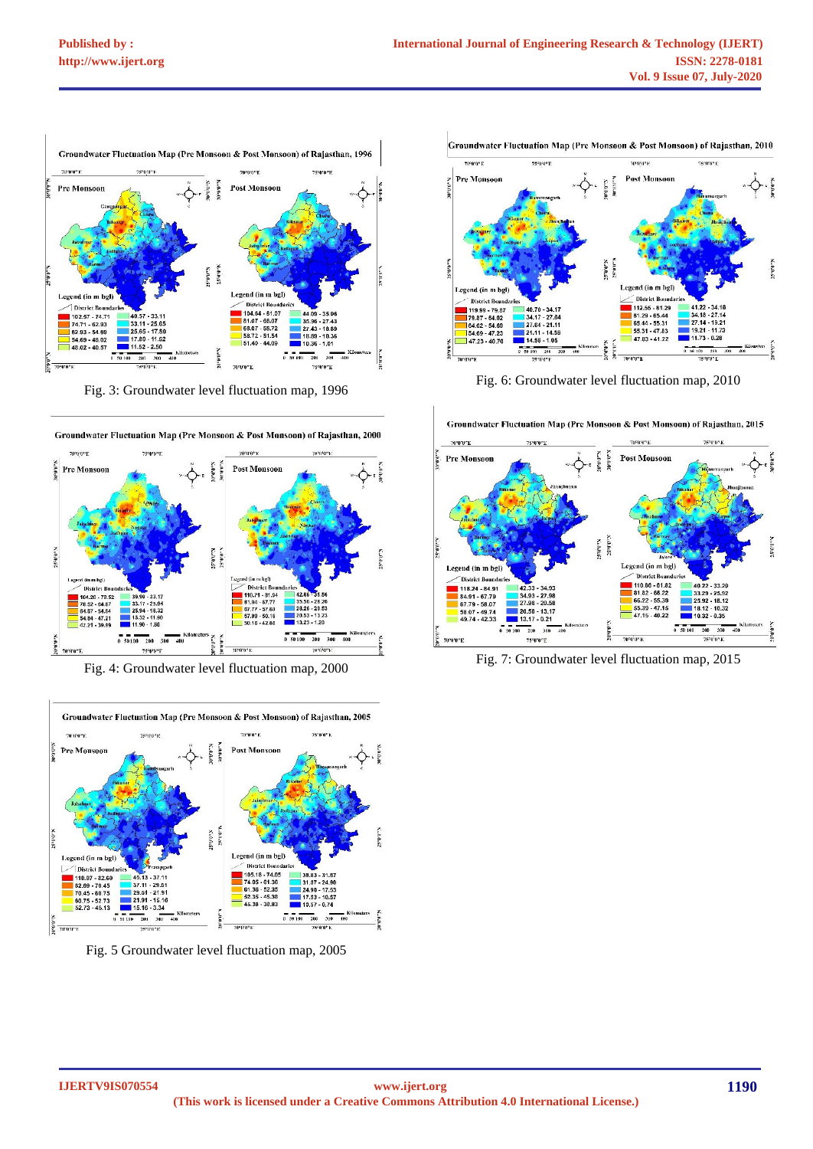

Fig. 3: Groundwater level fluctuation map, 1996



Fig. 4: Groundwater level fluctuation map, 2000



Fig. 5 Groundwater level fluctuation map, 2005



Fig. 6: Groundwater level fluctuation map, 2010



Fig. 7: Groundwater level fluctuation map, 2015

Groundwater Fluctuation Map (Pre Monsoon & Post Monsoon) of Rajasthan, 2015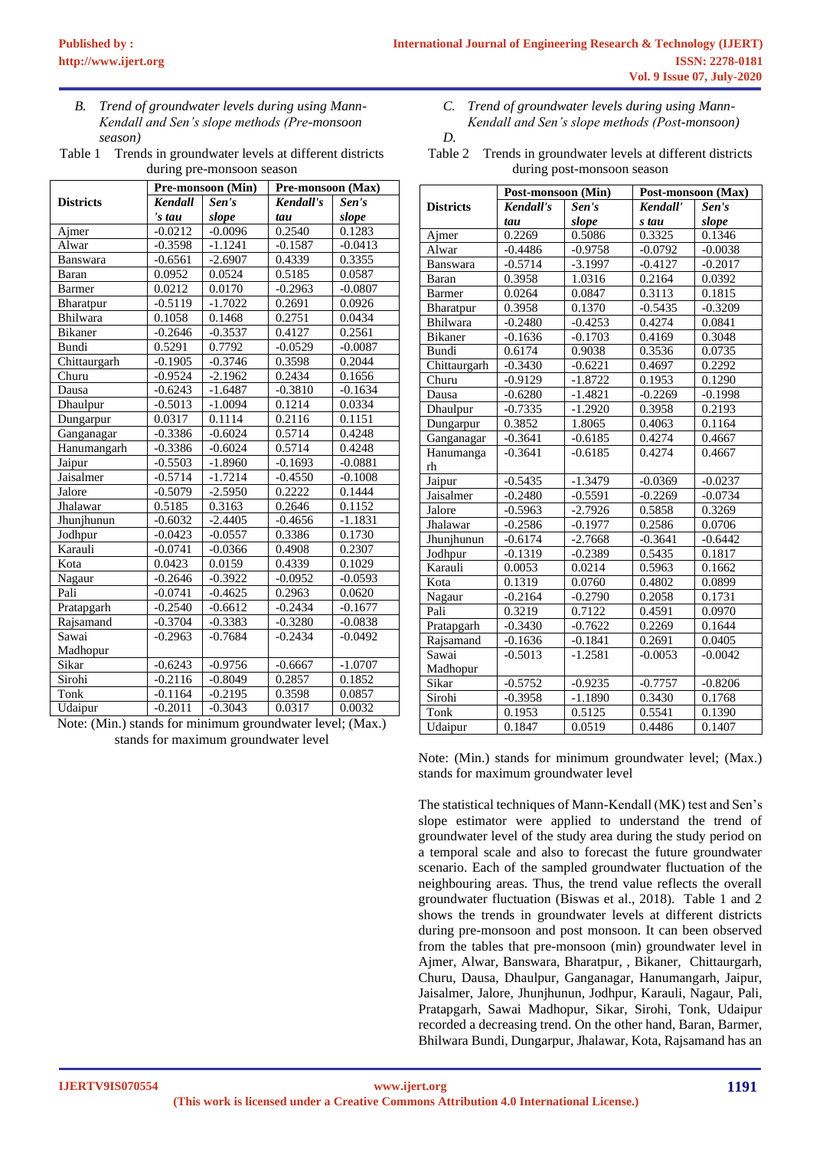*B. Trend of groundwater levels during using Mann-Kendall and Sen's slope methods (Pre-monsoon season)*

Table 1 Trends in groundwater levels at different districts during pre-monsoon season

|                  | Pre-monsoon (Min) |           | Pre-monsoon (Max) |           |
|------------------|-------------------|-----------|-------------------|-----------|
| <b>Districts</b> | <b>Kendall</b>    | Sen's     | Kendall's         | Sen's     |
|                  | 's tau            | slope     | tau               | slope     |
| Ajmer            | $-0.0212$         | $-0.0096$ | 0.2540            | 0.1283    |
| Alwar            | $-0.3598$         | $-1.1241$ | $-0.1587$         | $-0.0413$ |
| <b>Banswara</b>  | $-0.6561$         | $-2.6907$ | 0.4339            | 0.3355    |
| Baran            | 0.0952            | 0.0524    | 0.5185            | 0.0587    |
| Barmer           | 0.0212            | 0.0170    | $-0.2963$         | $-0.0807$ |
| Bharatpur        | $-0.5119$         | $-1.7022$ | 0.2691            | 0.0926    |
| Bhilwara         | 0.1058            | 0.1468    | 0.2751            | 0.0434    |
| <b>Bikaner</b>   | $-0.2646$         | $-0.3537$ | 0.4127            | 0.2561    |
| Bundi            | 0.5291            | 0.7792    | $-0.0529$         | $-0.0087$ |
| Chittaurgarh     | $-0.1905$         | $-0.3746$ | 0.3598            | 0.2044    |
| Churu            | $-0.9524$         | $-2.1962$ | 0.2434            | 0.1656    |
| Dausa            | $-0.6243$         | $-1.6487$ | $-0.3810$         | $-0.1634$ |
| Dhaulpur         | $-0.5013$         | $-1.0094$ | 0.1214            | 0.0334    |
| Dungarpur        | 0.0317            | 0.1114    | 0.2116            | 0.1151    |
| Ganganagar       | $-0.3386$         | $-0.6024$ | 0.5714            | 0.4248    |
| Hanumangarh      | $-0.3386$         | $-0.6024$ | 0.5714            | 0.4248    |
| Jaipur           | $-0.5503$         | $-1.8960$ | $-0.1693$         | $-0.0881$ |
| Jaisalmer        | $-0.5714$         | $-1.7214$ | $-0.4550$         | $-0.1008$ |
| Jalore           | $-0.5079$         | $-2.5950$ | 0.2222            | 0.1444    |
| Jhalawar         | 0.5185            | 0.3163    | 0.2646            | 0.1152    |
| Jhunjhunun       | $-0.6032$         | $-2.4405$ | $-0.4656$         | $-1.1831$ |
| Jodhpur          | $-0.0423$         | $-0.0557$ | 0.3386            | 0.1730    |
| Karauli          | $-0.0741$         | $-0.0366$ | 0.4908            | 0.2307    |
| Kota             | 0.0423            | 0.0159    | 0.4339            | 0.1029    |
| Nagaur           | $-0.2646$         | $-0.3922$ | $-0.0952$         | $-0.0593$ |
| Pali             | $-0.0741$         | $-0.4625$ | 0.2963            | 0.0620    |
| Pratapgarh       | $-0.2540$         | $-0.6612$ | $-0.2434$         | $-0.1677$ |
| Rajsamand        | $-0.3704$         | $-0.3383$ | $-0.3280$         | $-0.0838$ |
| Sawai            | $-0.2963$         | $-0.7684$ | $-0.2434$         | $-0.0492$ |
| Madhopur         |                   |           |                   |           |
| Sikar            | $-0.6243$         | $-0.9756$ | $-0.6667$         | $-1.0707$ |
| Sirohi           | $-0.2116$         | $-0.8049$ | 0.2857            | 0.1852    |
| Tonk             | $-0.1164$         | $-0.2195$ | 0.3598            | 0.0857    |
| Udaipur          | $-0.2011$         | $-0.3043$ | 0.0317            | 0.0032    |

Note: (Min.) stands for minimum groundwater level; (Max.) stands for maximum groundwater level

*C. Trend of groundwater levels during using Mann-Kendall and Sen's slope methods (Post-monsoon)*

*D.*

Table 2 Trends in groundwater levels at different districts during post-monsoon season

|                  | Post-monsoon (Min) |           | Post-monsoon (Max) |           |
|------------------|--------------------|-----------|--------------------|-----------|
| <b>Districts</b> | <b>Kendall's</b>   | Sen's     | Kendall'           | Sen's     |
|                  | tau                | slope     | s tau              | slope     |
| Ajmer            | 0.2269             | 0.5086    | 0.3325             | 0.1346    |
| Alwar            | $-0.4486$          | $-0.9758$ | $-0.0792$          | $-0.0038$ |
| <b>Banswara</b>  | $-0.5714$          | $-3.1997$ | $-0.4127$          | $-0.2017$ |
| Baran            | 0.3958             | 1.0316    | 0.2164             | 0.0392    |
| Barmer           | 0.0264             | 0.0847    | 0.3113             | 0.1815    |
| Bharatpur        | 0.3958             | 0.1370    | $-0.5435$          | $-0.3209$ |
| Bhilwara         | $-0.2480$          | $-0.4253$ | 0.4274             | 0.0841    |
| <b>Bikaner</b>   | $-0.1636$          | $-0.1703$ | 0.4169             | 0.3048    |
| Bundi            | 0.6174             | 0.9038    | 0.3536             | 0.0735    |
| Chittaurgarh     | $-0.3430$          | $-0.6221$ | 0.4697             | 0.2292    |
| Churu            | $-0.9129$          | $-1.8722$ | 0.1953             | 0.1290    |
| Dausa            | $-0.6280$          | $-1.4821$ | $-0.2269$          | $-0.1998$ |
| Dhaulpur         | $-0.7335$          | $-1.2920$ | 0.3958             | 0.2193    |
| Dungarpur        | 0.3852             | 1.8065    | 0.4063             | 0.1164    |
| Ganganagar       | $-0.3641$          | $-0.6185$ | 0.4274             | 0.4667    |
| Hanumanga        | $-0.3641$          | $-0.6185$ | 0.4274             | 0.4667    |
| rh               |                    |           |                    |           |
| Jaipur           | $-0.5435$          | $-1.3479$ | $-0.0369$          | $-0.0237$ |
| Jaisalmer        | $-0.2480$          | $-0.5591$ | $-0.2269$          | $-0.0734$ |
| Jalore           | $-0.5963$          | $-2.7926$ | 0.5858             | 0.3269    |
| Jhalawar         | $-0.2586$          | $-0.1977$ | 0.2586             | 0.0706    |
| Jhunjhunun       | $-0.6174$          | $-2.7668$ | $-0.3641$          | $-0.6442$ |
| Jodhpur          | $-0.1319$          | $-0.2389$ | 0.5435             | 0.1817    |
| Karauli          | 0.0053             | 0.0214    | 0.5963             | 0.1662    |
| Kota             | 0.1319             | 0.0760    | 0.4802             | 0.0899    |
| Nagaur           | $-0.2164$          | $-0.2790$ | 0.2058             | 0.1731    |
| Pali             | 0.3219             | 0.7122    | 0.4591             | 0.0970    |
| Pratapgarh       | $-0.3430$          | $-0.7622$ | 0.2269             | 0.1644    |
| Rajsamand        | $-0.1636$          | $-0.1841$ | 0.2691             | 0.0405    |
| Sawai            | $-0.5013$          | $-1.2581$ | $-0.0053$          | $-0.0042$ |
| Madhopur         |                    |           |                    |           |
| Sikar            | $-0.5752$          | $-0.9235$ | $-0.7757$          | $-0.8206$ |
| Sirohi           | $-0.3958$          | $-1.1890$ | 0.3430             | 0.1768    |
| Tonk             | 0.1953             | 0.5125    | 0.5541             | 0.1390    |
| Udaipur          | 0.1847             | 0.0519    | 0.4486             | 0.1407    |

Note: (Min.) stands for minimum groundwater level; (Max.) stands for maximum groundwater level

The statistical techniques of Mann-Kendall (MK) test and Sen's slope estimator were applied to understand the trend of groundwater level of the study area during the study period on a temporal scale and also to forecast the future groundwater scenario. Each of the sampled groundwater fluctuation of the neighbouring areas. Thus, the trend value reflects the overall groundwater fluctuation (Biswas et al., 2018). Table 1 and 2 shows the trends in groundwater levels at different districts during pre-monsoon and post monsoon. It can been observed from the tables that pre-monsoon (min) groundwater level in Ajmer, Alwar, Banswara, Bharatpur, , Bikaner, Chittaurgarh, Churu, Dausa, Dhaulpur, Ganganagar, Hanumangarh, Jaipur, Jaisalmer, Jalore, Jhunjhunun, Jodhpur, Karauli, Nagaur, Pali, Pratapgarh, Sawai Madhopur, Sikar, Sirohi, Tonk, Udaipur recorded a decreasing trend. On the other hand, Baran, Barmer, Bhilwara Bundi, Dungarpur, Jhalawar, Kota, Rajsamand has an